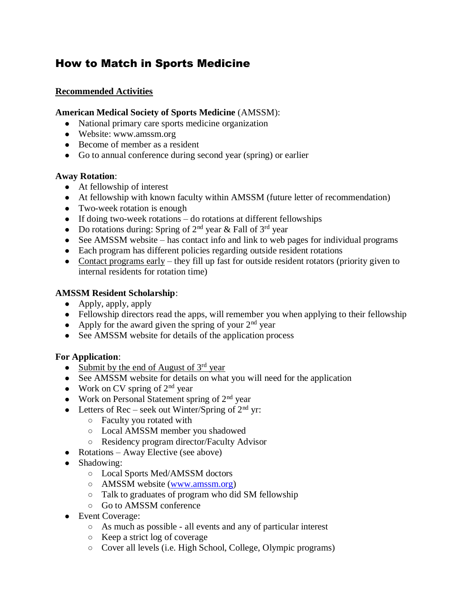# How to Match in Sports Medicine

### **Recommended Activities**

#### **American Medical Society of Sports Medicine** (AMSSM):

- National primary care sports medicine organization
- Website: www.amssm.org
- Become of member as a resident
- Go to annual conference during second year (spring) or earlier

#### **Away Rotation**:

- At fellowship of interest
- At fellowship with known faculty within AMSSM (future letter of recommendation)
- Two-week rotation is enough
- If doing two-week rotations do rotations at different fellowships
- Do rotations during: Spring of  $2<sup>nd</sup>$  year & Fall of  $3<sup>rd</sup>$  year
- See AMSSM website has contact info and link to web pages for individual programs
- Each program has different policies regarding outside resident rotations
- Contact programs early they fill up fast for outside resident rotators (priority given to internal residents for rotation time)

#### **AMSSM Resident Scholarship**:

- Apply, apply, apply
- Fellowship directors read the apps, will remember you when applying to their fellowship
- Apply for the award given the spring of your  $2<sup>nd</sup>$  year
- See AMSSM website for details of the application process

#### **For Application**:

- Submit by the end of August of  $3<sup>rd</sup>$  year
- See AMSSM website for details on what you will need for the application
- Work on CV spring of  $2<sup>nd</sup>$  year
- Work on Personal Statement spring of  $2<sup>nd</sup>$  year
- Letters of Rec seek out Winter/Spring of  $2<sup>nd</sup>$  yr:
	- Faculty you rotated with
	- Local AMSSM member you shadowed
	- Residency program director/Faculty Advisor
- Rotations Away Elective (see above)
- Shadowing:
	- Local Sports Med/AMSSM doctors
	- AMSSM website [\(www.amssm.org\)](http://www.amssm.org/)
	- Talk to graduates of program who did SM fellowship
	- Go to AMSSM conference
- Event Coverage:
	- As much as possible all events and any of particular interest
	- Keep a strict log of coverage
	- Cover all levels (i.e. High School, College, Olympic programs)